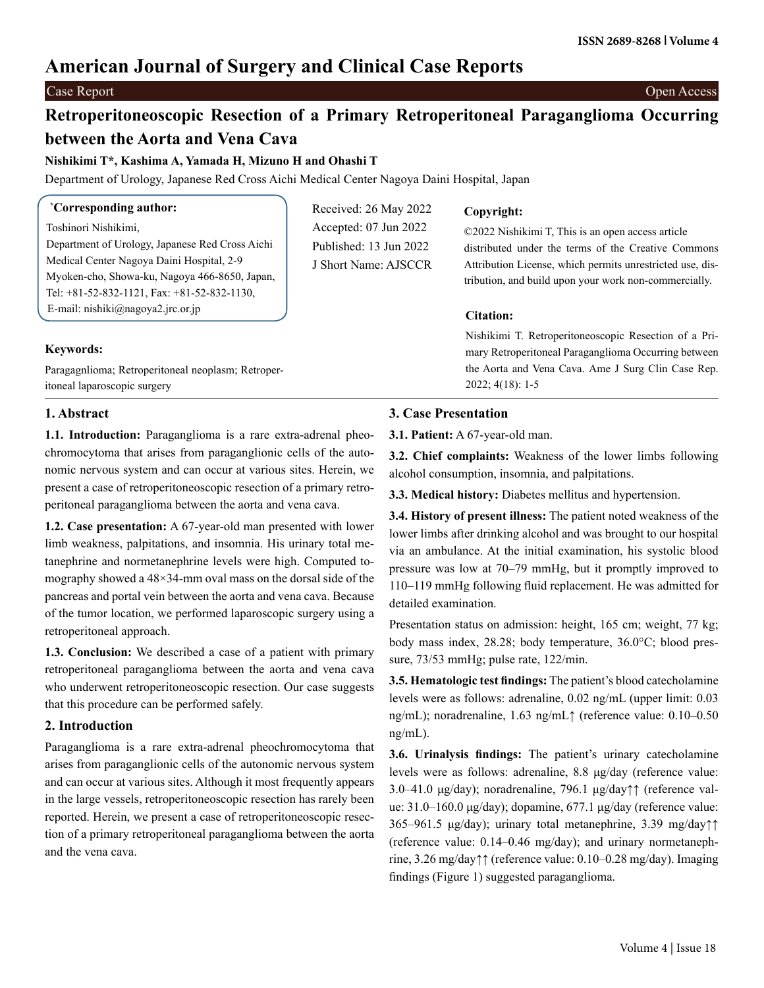# **American Journal of Surgery and Clinical Case Reports**

**\***

Case Report Open Access

# **Retroperitoneoscopic Resection of a Primary Retroperitoneal Paraganglioma Occurring between the Aorta and Vena Cava**

Received: 26 May 2022 Accepted: 07 Jun 2022 Published: 13 Jun 2022 J Short Name: AJSCCR

**Nishikimi T\*, Kashima A, Yamada H, Mizuno H and Ohashi T**

Department of Urology, Japanese Red Cross Aichi Medical Center Nagoya Daini Hospital, Japan

Toshinori Nishikimi, Department of Urology, Japanese Red Cross Aichi Medical Center Nagoya Daini Hospital, 2-9 Myoken-cho, Showa-ku, Nagoya 466-8650, Japan, Tel: +81-52-832-1121, Fax: +81-52-832-1130, E-mail: [nishiki@nagoya2.jrc.or.jp](mailto:nishiki@nagoya2.jrc.or.jp)

# **Copyright:**

©2022 Nishikimi T, This is an open access article distributed under the terms of the Creative Commons Attribution License, which permits unrestricted use, distribution, and build upon your work non-commercially.

# **Citation:**

Nishikimi T. Retroperitoneoscopic Resection of a Primary Retroperitoneal Paraganglioma Occurring between the Aorta and Vena Cava. Ame J Surg Clin Case Rep. 2022; 4(18): 1-5

### Paragagnlioma; Retroperitoneal neoplasm; Retroperitoneal laparoscopic surgery

**Keywords:**

**1. Abstract**

**1.1. Introduction:** Paraganglioma is a rare extra-adrenal pheochromocytoma that arises from paraganglionic cells of the autonomic nervous system and can occur at various sites. Herein, we present a case of retroperitoneoscopic resection of a primary retroperitoneal paraganglioma between the aorta and vena cava.

**1.2. Case presentation:** A 67-year-old man presented with lower limb weakness, palpitations, and insomnia. His urinary total metanephrine and normetanephrine levels were high. Computed tomography showed a 48×34-mm oval mass on the dorsal side of the pancreas and portal vein between the aorta and vena cava. Because of the tumor location, we performed laparoscopic surgery using a retroperitoneal approach.

**1.3. Conclusion:** We described a case of a patient with primary retroperitoneal paraganglioma between the aorta and vena cava who underwent retroperitoneoscopic resection. Our case suggests that this procedure can be performed safely.

# **2. Introduction**

Paraganglioma is a rare extra-adrenal pheochromocytoma that arises from paraganglionic cells of the autonomic nervous system and can occur at various sites. Although it most frequently appears in the large vessels, retroperitoneoscopic resection has rarely been reported. Herein, we present a case of retroperitoneoscopic resection of a primary retroperitoneal paraganglioma between the aorta and the vena cava.

# **3. Case Presentation**

**3.1. Patient:** A 67-year-old man.

**3.2. Chief complaints:** Weakness of the lower limbs following alcohol consumption, insomnia, and palpitations.

**3.3. Medical history:** Diabetes mellitus and hypertension.

**3.4. History of present illness:** The patient noted weakness of the lower limbs after drinking alcohol and was brought to our hospital via an ambulance. At the initial examination, his systolic blood pressure was low at 70–79 mmHg, but it promptly improved to 110–119 mmHg following fluid replacement. He was admitted for detailed examination.

Presentation status on admission: height, 165 cm; weight, 77 kg; body mass index, 28.28; body temperature, 36.0°C; blood pressure, 73/53 mmHg; pulse rate, 122/min.

**3.5. Hematologic test findings:** The patient's blood catecholamine levels were as follows: adrenaline, 0.02 ng/mL (upper limit: 0.03 ng/mL); noradrenaline, 1.63 ng/mL↑ (reference value: 0.10–0.50 ng/mL).

**3.6. Urinalysis findings:** The patient's urinary catecholamine levels were as follows: adrenaline, 8.8 μg/day (reference value: 3.0–41.0 μg/day); noradrenaline, 796.1 μg/day↑↑ (reference value: 31.0–160.0 μg/day); dopamine, 677.1 μg/day (reference value: 365–961.5 μg/day); urinary total metanephrine, 3.39 mg/day↑↑ (reference value: 0.14–0.46 mg/day); and urinary normetanephrine, 3.26 mg/day↑↑ (reference value: 0.10–0.28 mg/day). Imaging findings (Figure 1) suggested paraganglioma.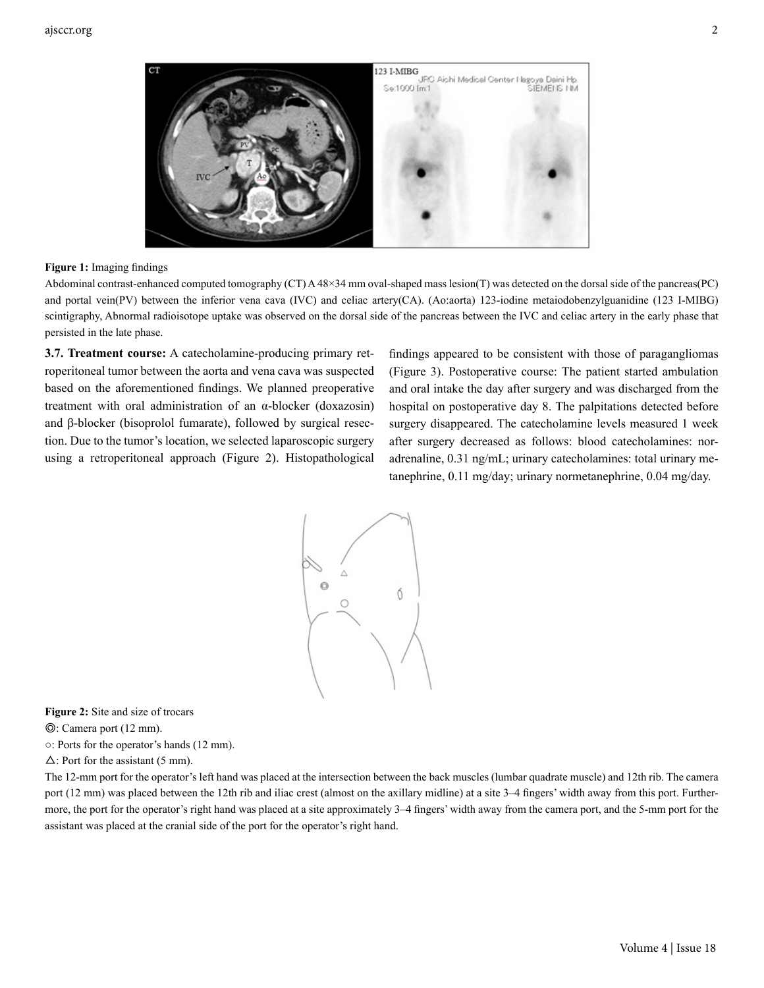

### **Figure 1:** Imaging findings

Abdominal contrast-enhanced computed tomography (CT) A 48×34 mm oval-shaped mass lesion(T) was detected on the dorsal side of the pancreas(PC) and portal vein(PV) between the inferior vena cava (IVC) and celiac artery(CA). (Ao:aorta) 123-iodine metaiodobenzylguanidine (123 I-MIBG) scintigraphy, Abnormal radioisotope uptake was observed on the dorsal side of the pancreas between the IVC and celiac artery in the early phase that persisted in the late phase.

**3.7. Treatment course:** A catecholamine-producing primary retroperitoneal tumor between the aorta and vena cava was suspected based on the aforementioned findings. We planned preoperative treatment with oral administration of an α-blocker (doxazosin) and β-blocker (bisoprolol fumarate), followed by surgical resection. Due to the tumor's location, we selected laparoscopic surgery using a retroperitoneal approach (Figure 2). Histopathological

findings appeared to be consistent with those of paragangliomas (Figure 3). Postoperative course: The patient started ambulation and oral intake the day after surgery and was discharged from the hospital on postoperative day 8. The palpitations detected before surgery disappeared. The catecholamine levels measured 1 week after surgery decreased as follows: blood catecholamines: noradrenaline, 0.31 ng/mL; urinary catecholamines: total urinary metanephrine, 0.11 mg/day; urinary normetanephrine, 0.04 mg/day.



**Figure 2:** Site and size of trocars

◎: Camera port (12 mm).

○: Ports for the operator's hands (12 mm).

 $\Delta$ : Port for the assistant (5 mm).

The 12-mm port for the operator's left hand was placed at the intersection between the back muscles (lumbar quadrate muscle) and 12th rib. The camera port (12 mm) was placed between the 12th rib and iliac crest (almost on the axillary midline) at a site 3–4 fingers' width away from this port. Furthermore, the port for the operator's right hand was placed at a site approximately 3–4 fingers' width away from the camera port, and the 5-mm port for the assistant was placed at the cranial side of the port for the operator's right hand.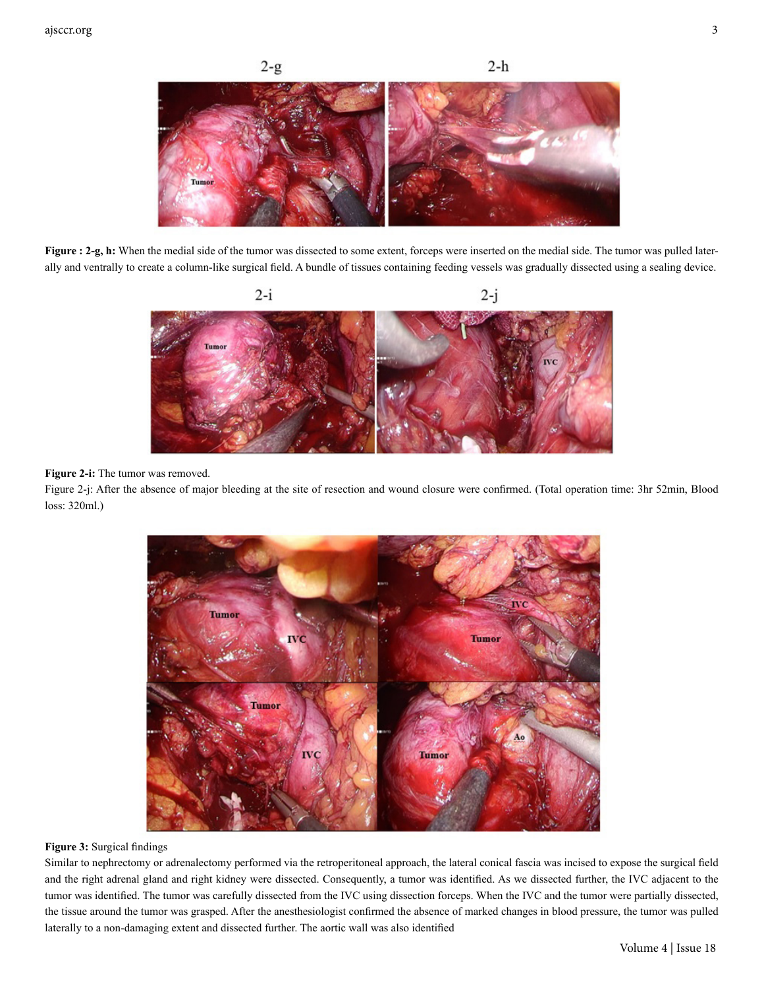

Figure : 2-g, h: When the medial side of the tumor was dissected to some extent, forceps were inserted on the medial side. The tumor was pulled laterally and ventrally to create a column-like surgical field. A bundle of tissues containing feeding vessels was gradually dissected using a sealing device.



#### **Figure 2-i:** The tumor was removed.

Figure 2-j: After the absence of major bleeding at the site of resection and wound closure were confirmed. (Total operation time: 3hr 52min, Blood loss: 320ml.)



#### **Figure 3:** Surgical findings

Similar to nephrectomy or adrenalectomy performed via the retroperitoneal approach, the lateral conical fascia was incised to expose the surgical field and the right adrenal gland and right kidney were dissected. Consequently, a tumor was identified. As we dissected further, the IVC adjacent to the tumor was identified. The tumor was carefully dissected from the IVC using dissection forceps. When the IVC and the tumor were partially dissected, the tissue around the tumor was grasped. After the anesthesiologist confirmed the absence of marked changes in blood pressure, the tumor was pulled laterally to a non-damaging extent and dissected further. The aortic wall was also identified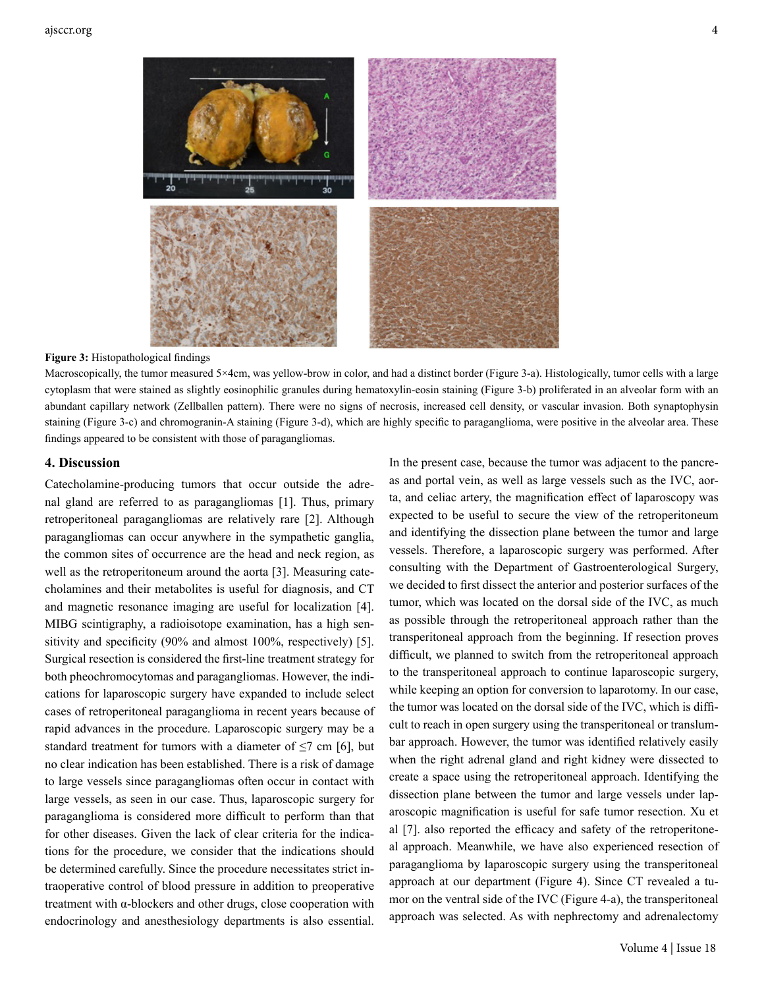

#### **Figure 3:** Histopathological findings

Macroscopically, the tumor measured 5×4cm, was yellow-brow in color, and had a distinct border (Figure 3-a). Histologically, tumor cells with a large cytoplasm that were stained as slightly eosinophilic granules during hematoxylin-eosin staining (Figure 3-b) proliferated in an alveolar form with an abundant capillary network (Zellballen pattern). There were no signs of necrosis, increased cell density, or vascular invasion. Both synaptophysin staining (Figure 3-c) and chromogranin-A staining (Figure 3-d), which are highly specific to paraganglioma, were positive in the alveolar area. These findings appeared to be consistent with those of paragangliomas.

#### **4. Discussion**

Catecholamine-producing tumors that occur outside the adrenal gland are referred to as paragangliomas [1]. Thus, primary retroperitoneal paragangliomas are relatively rare [2]. Although paragangliomas can occur anywhere in the sympathetic ganglia, the common sites of occurrence are the head and neck region, as well as the retroperitoneum around the aorta [3]. Measuring catecholamines and their metabolites is useful for diagnosis, and CT and magnetic resonance imaging are useful for localization [4]. MIBG scintigraphy, a radioisotope examination, has a high sensitivity and specificity (90% and almost 100%, respectively) [5]. Surgical resection is considered the first-line treatment strategy for both pheochromocytomas and paragangliomas. However, the indications for laparoscopic surgery have expanded to include select cases of retroperitoneal paraganglioma in recent years because of rapid advances in the procedure. Laparoscopic surgery may be a standard treatment for tumors with a diameter of  $\leq$ 7 cm [6], but no clear indication has been established. There is a risk of damage to large vessels since paragangliomas often occur in contact with large vessels, as seen in our case. Thus, laparoscopic surgery for paraganglioma is considered more difficult to perform than that for other diseases. Given the lack of clear criteria for the indications for the procedure, we consider that the indications should be determined carefully. Since the procedure necessitates strict intraoperative control of blood pressure in addition to preoperative treatment with  $\alpha$ -blockers and other drugs, close cooperation with endocrinology and anesthesiology departments is also essential.

In the present case, because the tumor was adjacent to the pancreas and portal vein, as well as large vessels such as the IVC, aorta, and celiac artery, the magnification effect of laparoscopy was expected to be useful to secure the view of the retroperitoneum and identifying the dissection plane between the tumor and large vessels. Therefore, a laparoscopic surgery was performed. After consulting with the Department of Gastroenterological Surgery, we decided to first dissect the anterior and posterior surfaces of the tumor, which was located on the dorsal side of the IVC, as much as possible through the retroperitoneal approach rather than the transperitoneal approach from the beginning. If resection proves difficult, we planned to switch from the retroperitoneal approach to the transperitoneal approach to continue laparoscopic surgery, while keeping an option for conversion to laparotomy. In our case, the tumor was located on the dorsal side of the IVC, which is difficult to reach in open surgery using the transperitoneal or translumbar approach. However, the tumor was identified relatively easily when the right adrenal gland and right kidney were dissected to create a space using the retroperitoneal approach. Identifying the dissection plane between the tumor and large vessels under laparoscopic magnification is useful for safe tumor resection. Xu et al [7]. also reported the efficacy and safety of the retroperitoneal approach. Meanwhile, we have also experienced resection of paraganglioma by laparoscopic surgery using the transperitoneal approach at our department (Figure 4). Since CT revealed a tumor on the ventral side of the IVC (Figure 4-a), the transperitoneal approach was selected. As with nephrectomy and adrenalectomy